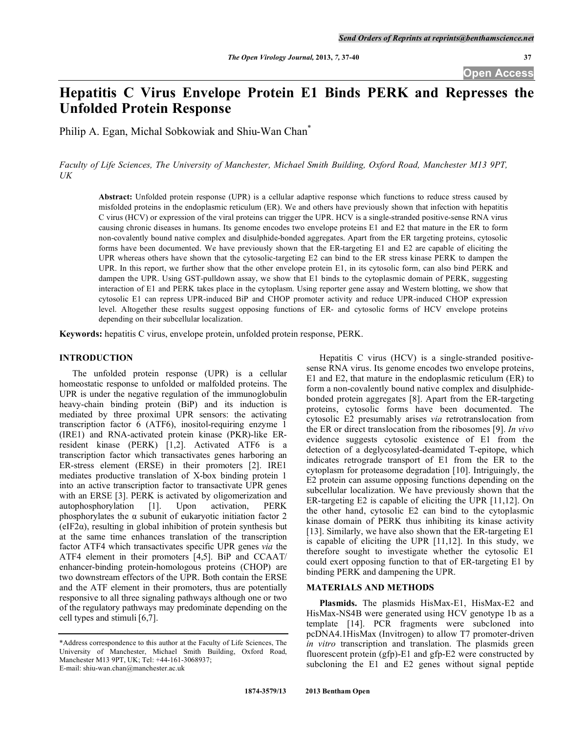**Open Access** 

# **Hepatitis C Virus Envelope Protein E1 Binds PERK and Represses the Unfolded Protein Response**

Philip A. Egan, Michal Sobkowiak and Shiu-Wan Chan<sup>\*</sup>

*Faculty of Life Sciences, The University of Manchester, Michael Smith Building, Oxford Road, Manchester M13 9PT, UK* 

**Abstract:** Unfolded protein response (UPR) is a cellular adaptive response which functions to reduce stress caused by misfolded proteins in the endoplasmic reticulum (ER). We and others have previously shown that infection with hepatitis C virus (HCV) or expression of the viral proteins can trigger the UPR. HCV is a single-stranded positive-sense RNA virus causing chronic diseases in humans. Its genome encodes two envelope proteins E1 and E2 that mature in the ER to form non-covalently bound native complex and disulphide-bonded aggregates. Apart from the ER targeting proteins, cytosolic forms have been documented. We have previously shown that the ER-targeting E1 and E2 are capable of eliciting the UPR whereas others have shown that the cytosolic-targeting E2 can bind to the ER stress kinase PERK to dampen the UPR. In this report, we further show that the other envelope protein E1, in its cytosolic form, can also bind PERK and dampen the UPR. Using GST-pulldown assay, we show that E1 binds to the cytoplasmic domain of PERK, suggesting interaction of E1 and PERK takes place in the cytoplasm. Using reporter gene assay and Western blotting, we show that cytosolic E1 can repress UPR-induced BiP and CHOP promoter activity and reduce UPR-induced CHOP expression level. Altogether these results suggest opposing functions of ER- and cytosolic forms of HCV envelope proteins depending on their subcellular localization.

**Keywords:** hepatitis C virus, envelope protein, unfolded protein response, PERK.

# **INTRODUCTION**

 The unfolded protein response (UPR) is a cellular homeostatic response to unfolded or malfolded proteins. The UPR is under the negative regulation of the immunoglobulin heavy-chain binding protein (BiP) and its induction is mediated by three proximal UPR sensors: the activating transcription factor 6 (ATF6), inositol-requiring enzyme 1 (IRE1) and RNA-activated protein kinase (PKR)-like ERresident kinase (PERK) [1,2]. Activated ATF6 is a transcription factor which transactivates genes harboring an ER-stress element (ERSE) in their promoters [2]. IRE1 mediates productive translation of X-box binding protein 1 into an active transcription factor to transactivate UPR genes with an ERSE [3]. PERK is activated by oligomerization and autophosphorylation [1]. Upon activation, PERK phosphorylates the  $\alpha$  subunit of eukaryotic initiation factor 2  $(eIF2\alpha)$ , resulting in global inhibition of protein synthesis but at the same time enhances translation of the transcription factor ATF4 which transactivates specific UPR genes *via* the ATF4 element in their promoters [4,5]. BiP and CCAAT/ enhancer-binding protein-homologous proteins (CHOP) are two downstream effectors of the UPR. Both contain the ERSE and the ATF element in their promoters, thus are potentially responsive to all three signaling pathways although one or two of the regulatory pathways may predominate depending on the cell types and stimuli [6,7].

 Hepatitis C virus (HCV) is a single-stranded positivesense RNA virus. Its genome encodes two envelope proteins, E1 and E2, that mature in the endoplasmic reticulum (ER) to form a non-covalently bound native complex and disulphidebonded protein aggregates [8]. Apart from the ER-targeting proteins, cytosolic forms have been documented. The cytosolic E2 presumably arises *via* retrotranslocation from the ER or direct translocation from the ribosomes [9]. *In vivo* evidence suggests cytosolic existence of E1 from the detection of a deglycosylated-deamidated T-epitope, which indicates retrograde transport of E1 from the ER to the cytoplasm for proteasome degradation [10]. Intriguingly, the E2 protein can assume opposing functions depending on the subcellular localization. We have previously shown that the ER-targeting E2 is capable of eliciting the UPR [11,12]. On the other hand, cytosolic E2 can bind to the cytoplasmic kinase domain of PERK thus inhibiting its kinase activity [13]. Similarly, we have also shown that the ER-targeting E1 is capable of eliciting the UPR [11,12]. In this study, we therefore sought to investigate whether the cytosolic E1 could exert opposing function to that of ER-targeting E1 by binding PERK and dampening the UPR.

## **MATERIALS AND METHODS**

**Plasmids.** The plasmids HisMax-E1, HisMax-E2 and HisMax-NS4B were generated using HCV genotype 1b as a template [14]. PCR fragments were subcloned into pcDNA4.1HisMax (Invitrogen) to allow T7 promoter-driven *in vitro* transcription and translation. The plasmids green fluorescent protein (gfp)-E1 and gfp-E2 were constructed by subcloning the E1 and E2 genes without signal peptide

<sup>\*</sup>Address correspondence to this author at the Faculty of Life Sciences, The University of Manchester, Michael Smith Building, Oxford Road, Manchester M13 9PT, UK; Tel: +44-161-3068937; E-mail: shiu-wan.chan@manchester.ac.uk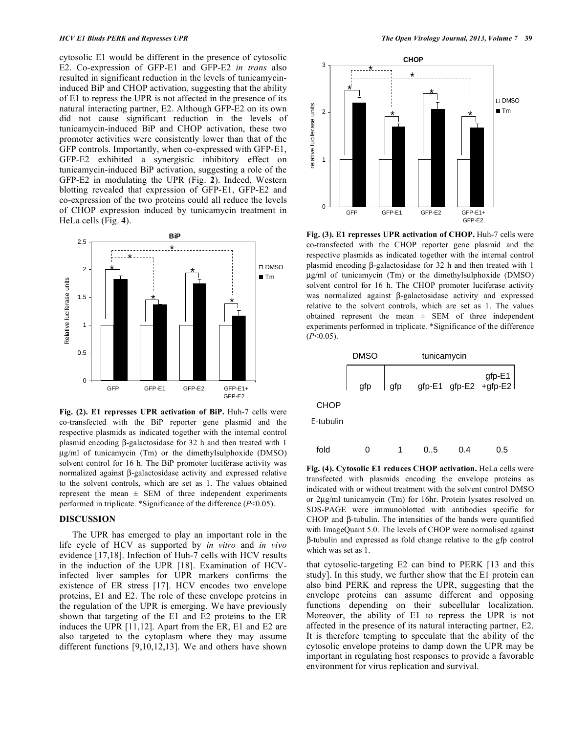cytosolic E1 would be different in the presence of cytosolic E2. Co-expression of GFP-E1 and GFP-E2 *in trans* also resulted in significant reduction in the levels of tunicamycininduced BiP and CHOP activation, suggesting that the ability of E1 to repress the UPR is not affected in the presence of its natural interacting partner, E2. Although GFP-E2 on its own did not cause significant reduction in the levels of tunicamycin-induced BiP and CHOP activation, these two promoter activities were consistently lower than that of the GFP controls. Importantly, when co-expressed with GFP-E1, GFP-E2 exhibited a synergistic inhibitory effect on tunicamycin-induced BiP activation, suggesting a role of the GFP-E2 in modulating the UPR (Fig. **2**). Indeed, Western blotting revealed that expression of GFP-E1, GFP-E2 and co-expression of the two proteins could all reduce the levels of CHOP expression induced by tunicamycin treatment in HeLa cells (Fig. **4**).



**Fig. (2). E1 represses UPR activation of BiP.** Huh-7 cells were co-transfected with the BiP reporter gene plasmid and the respective plasmids as indicated together with the internal control plasmid encoding  $\beta$ -galactosidase for 32 h and then treated with 1 μg/ml of tunicamycin (Tm) or the dimethylsulphoxide (DMSO) solvent control for 16 h. The BiP promoter luciferase activity was normalized against  $\beta$ -galactosidase activity and expressed relative to the solvent controls, which are set as 1. The values obtained represent the mean  $\pm$  SEM of three independent experiments performed in triplicate. \*Significance of the difference (*P*<0.05).

# **DISCUSSION**

 The UPR has emerged to play an important role in the life cycle of HCV as supported by *in vitro* and *in vivo* evidence [17,18]. Infection of Huh-7 cells with HCV results in the induction of the UPR [18]. Examination of HCVinfected liver samples for UPR markers confirms the existence of ER stress [17]. HCV encodes two envelope proteins, E1 and E2. The role of these envelope proteins in the regulation of the UPR is emerging. We have previously shown that targeting of the E1 and E2 proteins to the ER induces the UPR [11,12]. Apart from the ER, E1 and E2 are also targeted to the cytoplasm where they may assume different functions [9,10,12,13]. We and others have shown



**Fig. (3). E1 represses UPR activation of CHOP.** Huh-7 cells were co-transfected with the CHOP reporter gene plasmid and the respective plasmids as indicated together with the internal control plasmid encoding  $\beta$ -galactosidase for 32 h and then treated with 1 μg/ml of tunicamycin (Tm) or the dimethylsulphoxide (DMSO) solvent control for 16 h. The CHOP promoter luciferase activity was normalized against  $\beta$ -galactosidase activity and expressed relative to the solvent controls, which are set as 1. The values obtained represent the mean ± SEM of three independent experiments performed in triplicate. \*Significance of the difference (*P*<0.05).



**Fig. (4). Cytosolic E1 reduces CHOP activation.** HeLa cells were transfected with plasmids encoding the envelope proteins as indicated with or without treatment with the solvent control DMSO or 2μg/ml tunicamycin (Tm) for 16hr. Protein lysates resolved on SDS-PAGE were immunoblotted with antibodies specific for CHOP and  $\beta$ -tubulin. The intensities of the bands were quantified with ImageQuant 5.0. The levels of CHOP were normalised against -tubulin and expressed as fold change relative to the gfp control which was set as 1.

that cytosolic-targeting E2 can bind to PERK [13 and this study]. In this study, we further show that the E1 protein can also bind PERK and repress the UPR, suggesting that the envelope proteins can assume different and opposing functions depending on their subcellular localization. Moreover, the ability of E1 to repress the UPR is not affected in the presence of its natural interacting partner, E2. It is therefore tempting to speculate that the ability of the cytosolic envelope proteins to damp down the UPR may be important in regulating host responses to provide a favorable environment for virus replication and survival.